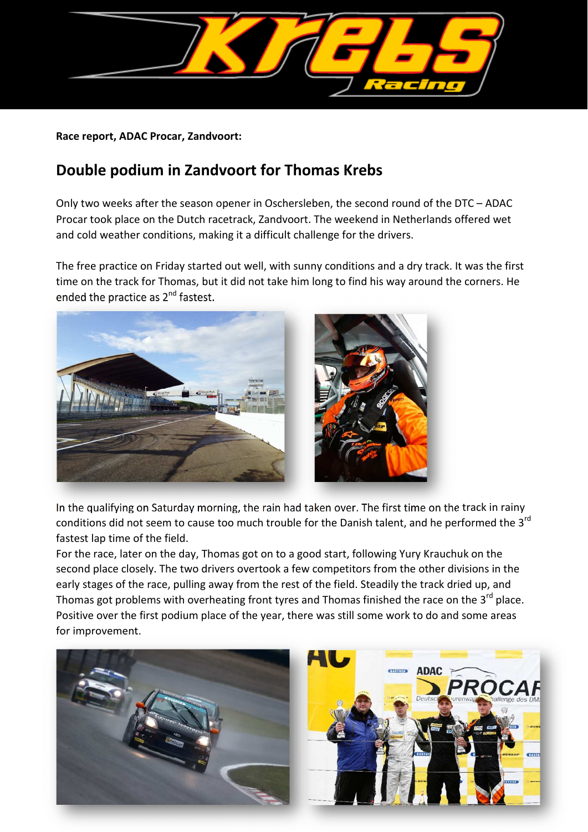

## **Race report, ADAC Procar, Zandvoort:**

## **Double podium in Zandvoort for Thomas Krebs**

Only two weeks after the season opener in Oschersleben, the second round of the DTC – ADAC Procar took place on the Dutch racetrack, Zandvoort. The weekend in Netherlands offered wet and cold weather conditions, making it a difficult challenge for the drivers.

The free practice on Friday started out well, with sunny conditions and a dry track. It was the first time on the track for Thomas, but it did not take him long to find his way around the corners. He ended the practice as 2<sup>nd</sup> fastest.



In the qualifying on Saturday morning, the rain had taken over. The first time on the track in rainy conditions did not seem to cause too much trouble for the Danish talent, and he performed the 3<sup>rd</sup> fastest lap time of the field.

For the race, later on the day, Thomas got on to a good start, following Yury Krauchuk on the second place closely. The two drivers overtook a few competitors from the other divisions in the early stages of the race, pulling away from the rest of the field. Steadily the track dried up, and Thomas got problems with overheating front tyres and Thomas finished the race on the 3<sup>rd</sup> place. Positive over the first podium place of the year, there was still some work to do and some areas for improvement.